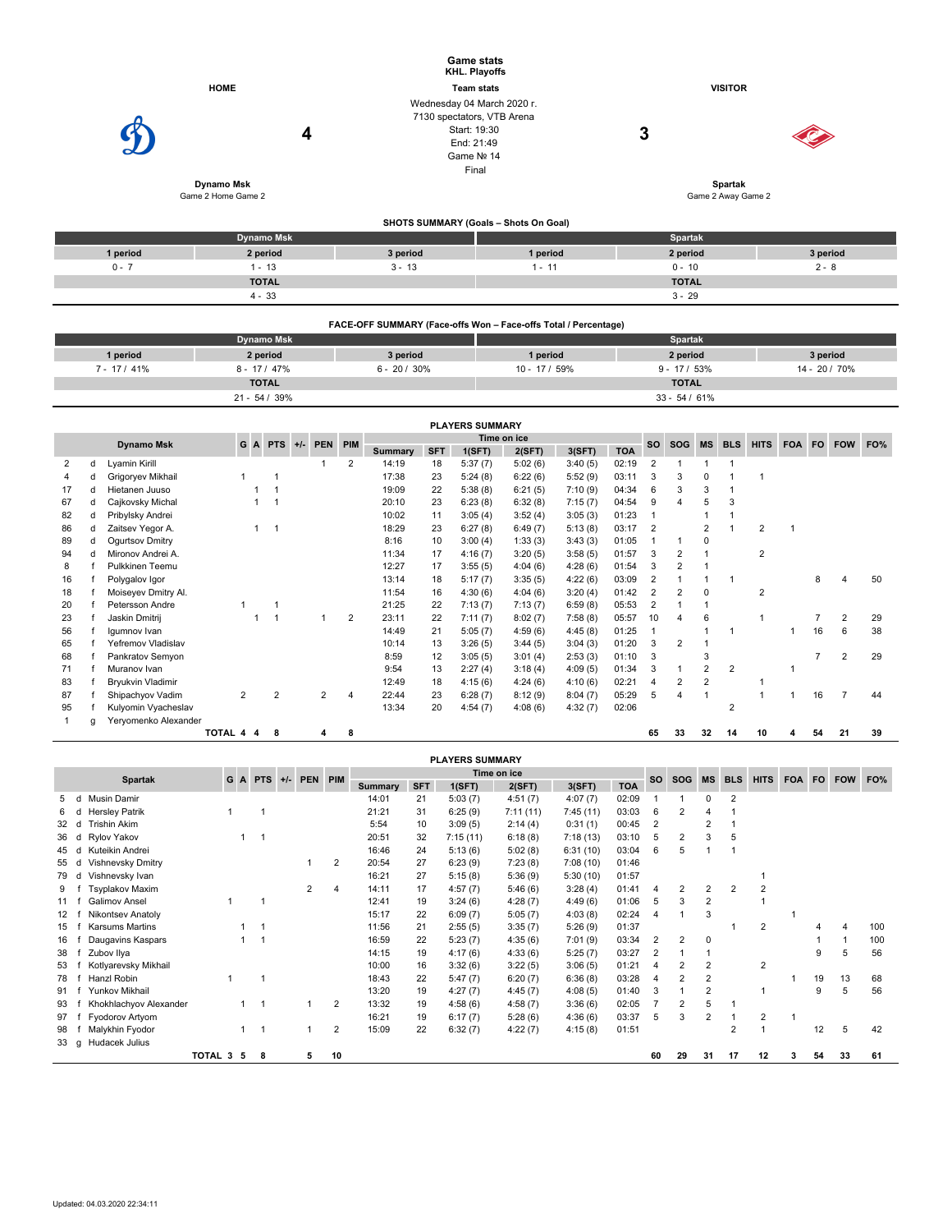|          |                                       |          | <b>Game stats</b><br>KHL. Playoffs                                                                            |                                    |          |  |  |  |  |  |  |
|----------|---------------------------------------|----------|---------------------------------------------------------------------------------------------------------------|------------------------------------|----------|--|--|--|--|--|--|
|          | <b>HOME</b>                           |          | <b>Team stats</b>                                                                                             | <b>VISITOR</b>                     |          |  |  |  |  |  |  |
|          | 4<br>Dynamo Msk<br>Game 2 Home Game 2 |          | Wednesday 04 March 2020 r.<br>7130 spectators, VTB Arena<br>Start: 19:30<br>End: 21:49<br>Game Nº 14<br>Final | 3<br>Spartak<br>Game 2 Away Game 2 |          |  |  |  |  |  |  |
|          |                                       |          | SHOTS SUMMARY (Goals - Shots On Goal)                                                                         |                                    |          |  |  |  |  |  |  |
|          | <b>Dynamo Msk</b>                     |          |                                                                                                               | Spartak                            |          |  |  |  |  |  |  |
| 1 period | 2 period                              | 3 period | 1 period                                                                                                      | 2 period                           | 3 period |  |  |  |  |  |  |
| $0 - 7$  | $1 - 13$                              | $3 - 13$ | $1 - 11$                                                                                                      | $0 - 10$                           | $2 - 8$  |  |  |  |  |  |  |
|          | <b>TOTAL</b>                          |          |                                                                                                               | <b>TOTAL</b>                       |          |  |  |  |  |  |  |
|          | $4 - 33$                              |          |                                                                                                               | $3 - 29$                           |          |  |  |  |  |  |  |

|                                     | FACE-OFF SUMMARY (Face-offs Won – Face-offs Total / Percentage) |                 |               |                 |               |  |  |  |  |  |  |  |  |  |
|-------------------------------------|-----------------------------------------------------------------|-----------------|---------------|-----------------|---------------|--|--|--|--|--|--|--|--|--|
| <b>Spartak</b><br><b>Dynamo Msk</b> |                                                                 |                 |               |                 |               |  |  |  |  |  |  |  |  |  |
| 1 period                            | 2 period                                                        | 3 period        | 1 period      | 2 period        | 3 period      |  |  |  |  |  |  |  |  |  |
| $7 - 17/41\%$                       | $8 - 17/47\%$                                                   | $6 - 20 / 30\%$ | $10 - 17/59%$ | $9 - 17 / 53%$  | 14 - 20 / 70% |  |  |  |  |  |  |  |  |  |
|                                     | <b>TOTAL</b>                                                    |                 |               | <b>TOTAL</b>    |               |  |  |  |  |  |  |  |  |  |
|                                     | $21 - 54 / 39%$                                                 |                 |               | $33 - 54 / 61%$ |               |  |  |  |  |  |  |  |  |  |

|                   |   |                          |                |  |                 |            |     |                |            | <b>PLAYERS SUMMARY</b> |             |         |            |                |                       |    |                |                |        |    |                |     |
|-------------------|---|--------------------------|----------------|--|-----------------|------------|-----|----------------|------------|------------------------|-------------|---------|------------|----------------|-----------------------|----|----------------|----------------|--------|----|----------------|-----|
|                   |   |                          |                |  | $G$ A PTS $+/-$ | <b>PEN</b> | PIM |                |            |                        | Time on ice |         |            | <b>SO</b>      | SOG MS BLS            |    |                | <b>HITS</b>    | FOA FO |    | <b>FOW</b>     | FO% |
| <b>Dynamo Msk</b> |   |                          |                |  |                 |            |     | <b>Summary</b> | <b>SFT</b> | 1(SFT)                 | 2(SFT)      | 3(SFT)  | <b>TOA</b> |                |                       |    |                |                |        |    |                |     |
| 2                 | d | Lyamin Kirill            |                |  |                 |            | 2   | 14:19          | 18         | 5:37(7)                | 5:02(6)     | 3:40(5) | 02:19      | 2              |                       |    |                |                |        |    |                |     |
|                   |   | Grigoryev Mikhail        |                |  |                 |            |     | 17:38          | 23         | 5:24(8)                | 6:22(6)     | 5:52(9) | 03:11      | 3              | 3                     | 0  |                |                |        |    |                |     |
| 17                | d | Hietanen Juuso           |                |  |                 |            |     | 19:09          | 22         | 5:38(8)                | 6:21(5)     | 7:10(9) | 04:34      | 6              | 3                     | 3  |                |                |        |    |                |     |
| 67                | d | Cajkovsky Michal         |                |  |                 |            |     | 20:10          | 23         | 6:23(8)                | 6:32(8)     | 7:15(7) | 04:54      | 9              |                       | 5  | 3              |                |        |    |                |     |
| 82                | d | Pribylsky Andrei         |                |  |                 |            |     | 10:02          | 11         | 3:05(4)                | 3:52(4)     | 3:05(3) | 01:23      |                |                       |    |                |                |        |    |                |     |
| 86                | d | Zaitsev Yegor A.         |                |  |                 |            |     | 18:29          | 23         | 6:27(8)                | 6:49(7)     | 5:13(8) | 03:17      | $\overline{2}$ |                       | 2  |                | 2              | -1     |    |                |     |
| 89                | d | Ogurtsov Dmitry          |                |  |                 |            |     | 8:16           | 10         | 3:00(4)                | 1:33(3)     | 3:43(3) | 01:05      |                |                       | 0  |                |                |        |    |                |     |
| 94                |   | Mironov Andrei A.        |                |  |                 |            |     | 11:34          | 17         | 4:16(7)                | 3:20(5)     | 3:58(5) | 01:57      | 3              | 2                     |    |                | $\overline{2}$ |        |    |                |     |
| 8                 |   | Pulkkinen Teemu          |                |  |                 |            |     | 12:27          | 17         | 3:55(5)                | 4:04(6)     | 4:28(6) | 01:54      | 3              | $\overline{2}$        |    |                |                |        |    |                |     |
| 16                |   | Polygalov Igor           |                |  |                 |            |     | 13:14          | 18         | 5:17(7)                | 3:35(5)     | 4:22(6) | 03:09      | $\overline{2}$ |                       |    | ٠              |                |        | 8  |                | 50  |
| 18                |   | Moiseyev Dmitry Al.      |                |  |                 |            |     | 11:54          | 16         | 4:30(6)                | 4:04(6)     | 3:20(4) | 01:42      | $\overline{2}$ | 2                     | 0  |                | 2              |        |    |                |     |
| 20                |   | Petersson Andre          |                |  |                 |            |     | 21:25          | 22         | 7:13(7)                | 7:13(7)     | 6:59(8) | 05:53      | $\overline{2}$ |                       |    |                |                |        |    |                |     |
| 23                |   | Jaskin Dmitrij           |                |  |                 |            | 2   | 23:11          | 22         | 7:11(7)                | 8:02(7)     | 7:58(8) | 05:57      | 10             | $\boldsymbol{\Delta}$ | 6  |                |                |        |    | 2              | 29  |
| 56                |   | Igumnov Ivan             |                |  |                 |            |     | 14:49          | 21         | 5:05(7)                | 4:59(6)     | 4:45(8) | 01:25      |                |                       |    |                |                |        | 16 | 6              | 38  |
| 65                |   | Yefremov Vladislav       |                |  |                 |            |     | 10:14          | 13         | 3:26(5)                | 3:44(5)     | 3:04(3) | 01:20      | 3              | $\overline{2}$        |    |                |                |        |    |                |     |
| 68                |   | Pankratov Semyon         |                |  |                 |            |     | 8:59           | 12         | 3:05(5)                | 3:01(4)     | 2:53(3) | 01:10      | 3              |                       | 3  |                |                |        |    | $\overline{2}$ | 29  |
| 71                |   | Muranov Ivan             |                |  |                 |            |     | 9:54           | 13         | 2:27(4)                | 3:18(4)     | 4:09(5) | 01:34      | 3              |                       | 2  | $\overline{2}$ |                |        |    |                |     |
| 83                |   | <b>Bryukvin Vladimir</b> |                |  |                 |            |     | 12:49          | 18         | 4:15(6)                | 4:24(6)     | 4:10(6) | 02:21      | 4              | 2                     | 2  |                |                |        |    |                |     |
| 87                |   | Shipachyov Vadim         | $\overline{2}$ |  | $\overline{2}$  | 2          | 4   | 22:44          | 23         | 6:28(7)                | 8:12(9)     | 8:04(7) | 05:29      | 5              | 4                     |    |                |                |        | 16 |                | 44  |
| 95                |   | Kulyomin Vyacheslav      |                |  |                 |            |     | 13:34          | 20         | 4:54(7)                | 4:08(6)     | 4:32(7) | 02:06      |                |                       |    | 2              |                |        |    |                |     |
|                   | a | Yeryomenko Alexander     |                |  |                 |            |     |                |            |                        |             |         |            |                |                       |    |                |                |        |    |                |     |
|                   |   |                          | TOTAL 4 4      |  | 8               | 4          | 8   |                |            |                        |             |         |            | 65             | 33                    | 32 | 14             | 10             |        | 54 | 21             | 39  |

|                   |   |                        |           |       |                |                |            |        | <b>PLAYERS SUMMARY</b> |             |            |       |                |                |                |            |                |        |    |            |     |
|-------------------|---|------------------------|-----------|-------|----------------|----------------|------------|--------|------------------------|-------------|------------|-------|----------------|----------------|----------------|------------|----------------|--------|----|------------|-----|
|                   |   | <b>Spartak</b>         | G         | A PTS | +/- PEN PIM    |                |            |        |                        | Time on ice |            |       | <b>SO</b>      | <b>SOG</b>     | <b>MS</b>      | <b>BLS</b> | <b>HITS</b>    | FOA FO |    | <b>FOW</b> | FO% |
|                   |   |                        |           |       |                | <b>Summary</b> | <b>SFT</b> | 1(SFT) | 2(SFT)                 | 3(SFT)      | <b>TOA</b> |       |                |                |                |            |                |        |    |            |     |
| 5                 | d | Musin Damir            |           |       |                |                | 14:01      | 21     | 5:03(7)                | 4:51(7)     | 4:07(7)    | 02:09 |                |                | O              | 2          |                |        |    |            |     |
| 6                 | d | <b>Hersley Patrik</b>  |           |       |                |                | 21:21      | 31     | 6:25(9)                | 7:11(11)    | 7:45(11)   | 03:03 | 6              | 2              | 4              |            |                |        |    |            |     |
| 32                | d | Trishin Akim           |           |       |                |                | 5:54       | 10     | 3:09(5)                | 2:14(4)     | 0:31(1)    | 00:45 | $\overline{2}$ |                | 2              |            |                |        |    |            |     |
| 36                | d | Rylov Yakov            |           | 1     |                |                | 20:51      | 32     | 7:15(11)               | 6:18(8)     | 7:18(13)   | 03:10 | 5              | 2              | 3              | 5          |                |        |    |            |     |
| 45                | d | Kuteikin Andrei        |           |       |                |                | 16:46      | 24     | 5:13(6)                | 5:02(8)     | 6:31(10)   | 03:04 | 6              | 5              |                |            |                |        |    |            |     |
| 55                | d | Vishnevsky Dmitry      |           |       |                | 2              | 20:54      | 27     | 6:23(9)                | 7:23(8)     | 7:08(10)   | 01:46 |                |                |                |            |                |        |    |            |     |
| 79                | d | Vishnevsky Ivan        |           |       |                |                | 16:21      | 27     | 5:15(8)                | 5:36(9)     | 5:30(10)   | 01:57 |                |                |                |            |                |        |    |            |     |
| 9                 |   | <b>Tsyplakov Maxim</b> |           |       | $\overline{2}$ | $\overline{4}$ | 14:11      | 17     | 4:57(7)                | 5:46(6)     | 3:28(4)    | 01:41 | $\overline{4}$ | $\overline{2}$ | $\overline{2}$ | 2          | $\overline{2}$ |        |    |            |     |
| 11                |   | <b>Galimov Ansel</b>   | 1         | 1     |                |                | 12:41      | 19     | 3:24(6)                | 4:28(7)     | 4:49(6)    | 01:06 | 5              | 3              | $\overline{2}$ |            |                |        |    |            |     |
| $12 \overline{ }$ |   | Nikontsev Anatoly      |           |       |                |                | 15:17      | 22     | 6:09(7)                | 5:05(7)     | 4:03(8)    | 02:24 | 4              |                | 3              |            |                |        |    |            |     |
| 15                |   | Karsums Martins        |           |       |                |                | 11:56      | 21     | 2:55(5)                | 3:35(7)     | 5:26(9)    | 01:37 |                |                |                |            | 2              |        |    | 4          | 100 |
| 16                |   | Daugavins Kaspars      |           |       |                |                | 16:59      | 22     | 5:23(7)                | 4:35(6)     | 7:01(9)    | 03:34 | $\overline{2}$ | $\overline{2}$ | 0              |            |                |        |    |            | 100 |
| 38                |   | Zubov Ilya             |           |       |                |                | 14:15      | 19     | 4:17(6)                | 4:33(6)     | 5:25(7)    | 03:27 | $\overline{2}$ |                |                |            |                |        | 9  | 5          | 56  |
| 53                |   | Kotlyarevsky Mikhail   |           |       |                |                | 10:00      | 16     | 3:32(6)                | 3:22(5)     | 3:06(5)    | 01:21 | 4              | $\overline{2}$ | $\overline{2}$ |            | 2              |        |    |            |     |
| 78                |   | Hanzl Robin            |           |       |                |                | 18:43      | 22     | 5:47(7)                | 6:20(7)     | 6:36(8)    | 03:28 | 4              | $\overline{2}$ | $\overline{2}$ |            |                |        | 19 | 13         | 68  |
| 91                |   | Yunkov Mikhail         |           |       |                |                | 13:20      | 19     | 4:27(7)                | 4:45(7)     | 4:08(5)    | 01:40 | 3              |                | $\overline{2}$ |            |                |        | 9  | 5          | 56  |
| 93                |   | Khokhlachyov Alexander |           |       |                | 2              | 13:32      | 19     | 4:58(6)                | 4:58(7)     | 3:36(6)    | 02:05 |                | 2              | 5              |            |                |        |    |            |     |
| 97                |   | Fyodorov Artyom        |           |       |                |                | 16:21      | 19     | 6:17(7)                | 5:28(6)     | 4:36(6)    | 03:37 | 5              | 3              | 2              |            | 2              |        |    |            |     |
| 98                |   | Malykhin Fyodor        |           | 1     |                | 2              | 15:09      | 22     | 6:32(7)                | 4:22(7)     | 4:15(8)    | 01:51 |                |                |                | 2          |                |        | 12 | 5          | 42  |
| 33                | g | Hudacek Julius         |           |       |                |                |            |        |                        |             |            |       |                |                |                |            |                |        |    |            |     |
|                   |   |                        | TOTAL 3 5 | 8     | 5              | 10             |            |        |                        |             |            |       | 60             | 29             | 31             | 17         | 12             | 3      | 54 | 33         | 61  |